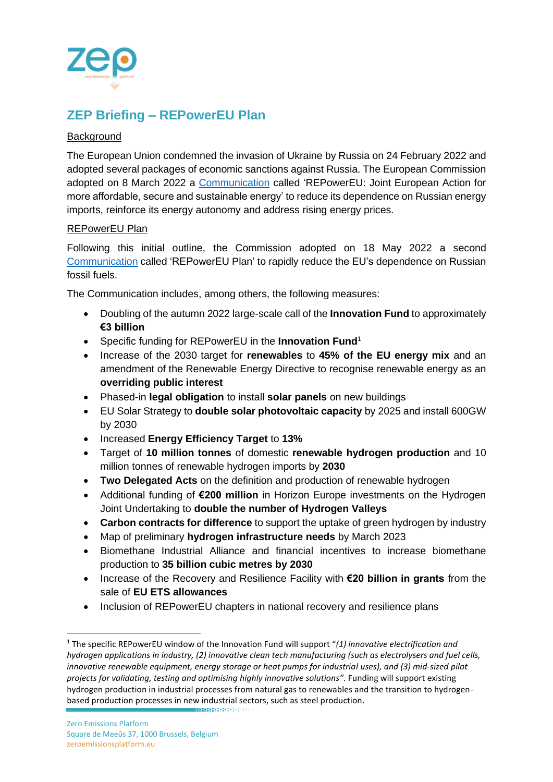

## **ZEP Briefing – REPowerEU Plan**

## Background

The European Union condemned the invasion of Ukraine by Russia on 24 February 2022 and adopted several packages of economic sanctions against Russia. The European Commission adopted on 8 March 2022 a [Communication](https://ec.europa.eu/commission/presscorner/detail/en/ip_22_1511) called 'REPowerEU: Joint European Action for more affordable, secure and sustainable energy' to reduce its dependence on Russian energy imports, reinforce its energy autonomy and address rising energy prices.

## REPowerEU Plan

Following this initial outline, the Commission adopted on 18 May 2022 a second [Communication](https://ec.europa.eu/info/publications/key-documents-repowereu_en) called 'REPowerEU Plan' to rapidly reduce the EU's dependence on Russian fossil fuels.

The Communication includes, among others, the following measures:

- Doubling of the autumn 2022 large-scale call of the **Innovation Fund** to approximately **€3 billion**
- Specific funding for REPowerEU in the **Innovation Fund**<sup>1</sup>
- Increase of the 2030 target for **renewables** to **45% of the EU energy mix** and an amendment of the Renewable Energy Directive to recognise renewable energy as an **overriding public interest**
- Phased-in **legal obligation** to install **solar panels** on new buildings
- EU Solar Strategy to **double solar photovoltaic capacity** by 2025 and install 600GW by 2030
- Increased **Energy Efficiency Target** to **13%**
- Target of **10 million tonnes** of domestic **renewable hydrogen production** and 10 million tonnes of renewable hydrogen imports by **2030**
- **Two Delegated Acts** on the definition and production of renewable hydrogen
- Additional funding of **€200 million** in Horizon Europe investments on the Hydrogen Joint Undertaking to **double the number of Hydrogen Valleys**
- **Carbon contracts for difference** to support the uptake of green hydrogen by industry
- Map of preliminary **hydrogen infrastructure needs** by March 2023
- Biomethane Industrial Alliance and financial incentives to increase biomethane production to **35 billion cubic metres by 2030**
- Increase of the Recovery and Resilience Facility with **€20 billion in grants** from the sale of **EU ETS allowances**
- Inclusion of REPowerEU chapters in national recovery and resilience plans

<sup>1</sup> The specific REPowerEU window of the Innovation Fund will support "*(1) innovative electrification and hydrogen applications in industry, (2) innovative clean tech manufacturing (such as electrolysers and fuel cells, innovative renewable equipment, energy storage or heat pumps for industrial uses), and (3) mid-sized pilot projects for validating, testing and optimising highly innovative solutions".* Funding will support existing hydrogen production in industrial processes from natural gas to renewables and the transition to hydrogenbased production processes in new industrial sectors, such as steel production.